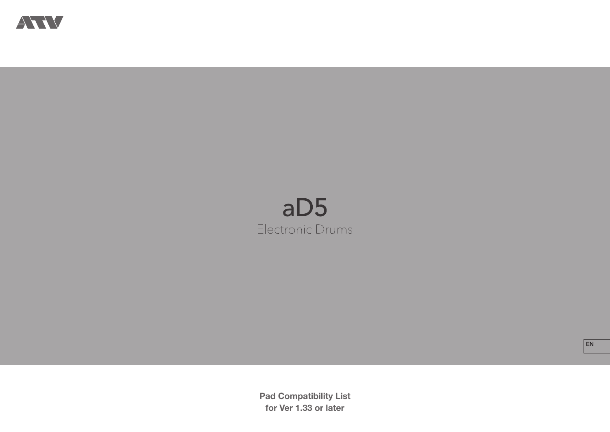

# $aD5$ Electronic Drums

**Pad Compatibility List for Ver 1.33 or later**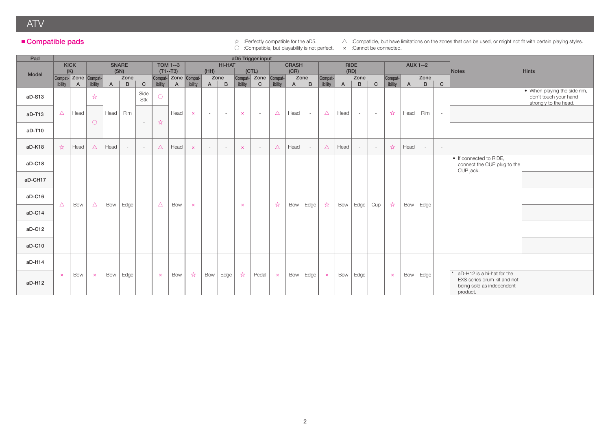ATV

### ■ Compatible pads

○ :Compatible, but playability is not perfect. x :Cannot be connected.

☆ :Perfectly compatible for the aD5. △ :Compatible, but have limitations on the zones that can be used, or might not fit with certain playing styles.

| Pad      |                       | aD5 Trigger input    |                       |                |              |              |                       |                      |                       |              |                          |                       |                      |               |              |                |              |                |             |              |              |              |                   |              |                                                                                                    |                                                       |
|----------|-----------------------|----------------------|-----------------------|----------------|--------------|--------------|-----------------------|----------------------|-----------------------|--------------|--------------------------|-----------------------|----------------------|---------------|--------------|----------------|--------------|----------------|-------------|--------------|--------------|--------------|-------------------|--------------|----------------------------------------------------------------------------------------------------|-------------------------------------------------------|
|          |                       | <b>KICK</b>          |                       |                | <b>SNARE</b> |              |                       | <b>TOM 1--3</b>      |                       |              | <b>HI-HAT</b>            |                       |                      |               | <b>CRASH</b> |                |              |                | <b>RIDE</b> |              |              |              | <b>AUX 1--2</b>   |              |                                                                                                    |                                                       |
| Model    |                       | (K)                  |                       |                | (SN)         |              |                       | $(T1--T3)$           |                       | (HH)         |                          |                       | (CTL)                |               | (CR)         |                |              |                | (RD)        |              |              |              |                   |              | Notes                                                                                              | <b>Hints</b>                                          |
|          |                       | Compat- Zone Compat- |                       |                | Zone         |              |                       | Compat- Zone Compat- |                       |              | Zone                     |                       | Compat- Zone Compat- |               |              | Zone           | Compat-      |                | Zone        |              | Compat-      |              | Zone              |              |                                                                                                    |                                                       |
|          | ibility               | $\overline{A}$       | ibility               | $\overline{A}$ | B            | $\mathbf{C}$ | ibility               | $\overline{A}$       | ibility               | $\mathsf{A}$ | $\mathbf{B}$             | ibility               | $\mathbf{C}$         | ibility       | $\mathsf{A}$ | B              | ibility      | $\overline{A}$ | B           | $\mathbf{C}$ | ibility      | $\mathsf{A}$ | B                 | $\mathsf{C}$ |                                                                                                    |                                                       |
| aD-S13   |                       |                      | ☆                     |                |              | Side<br>Stk  | $\bigcirc$            |                      |                       |              |                          |                       |                      |               |              |                |              |                |             |              |              |              |                   |              |                                                                                                    | • When playing the side rim,<br>don't touch your hand |
|          |                       |                      |                       |                |              |              |                       |                      |                       |              |                          |                       |                      |               |              |                |              |                |             |              |              |              |                   |              |                                                                                                    | strongly to the head.                                 |
| $aD-T13$ | $\triangle$           | Head                 | $\circ$               | Head           | Rim          |              |                       | Head                 | $\boldsymbol{\times}$ | $\sim$       | $\sim$                   | $\boldsymbol{\times}$ | $\sim$               | $\triangle$   | Head         | $\sim$         | $\triangle$  | Head           | $\sim$      | $\sim$       | ☆            | Head         | Rim               | $\sim$       |                                                                                                    |                                                       |
| aD-T10   |                       |                      |                       |                |              | $\sim$       | ☆                     |                      |                       |              |                          |                       |                      |               |              |                |              |                |             |              |              |              |                   |              |                                                                                                    |                                                       |
|          |                       |                      |                       |                |              |              |                       |                      |                       |              |                          |                       |                      |               |              |                |              |                |             |              |              |              |                   |              |                                                                                                    |                                                       |
| aD-K18   | $x^4$                 | Head                 | $\triangle$           | Head           | $\sim$       | $\sim$       | $\triangle$           | Head                 | $\boldsymbol{\times}$ | $\sim$       | $\sim$                   | $\boldsymbol{\times}$ | $\sim$               | $\triangle$   | Head         | $\overline{a}$ | $\triangle$  | Head           | $\sim$      | $\sim$       | ☆            | Head         | $\sim$            | $\sim$       |                                                                                                    |                                                       |
| aD-C18   |                       |                      |                       |                |              |              |                       |                      |                       |              |                          |                       |                      |               |              |                |              |                |             |              |              |              |                   |              | • If connected to RIDE,<br>connect the CUP plug to the<br>CUP jack.                                |                                                       |
| aD-CH17  |                       |                      |                       |                |              |              |                       |                      |                       |              |                          |                       |                      |               |              |                |              |                |             |              |              |              |                   |              |                                                                                                    |                                                       |
| aD-C16   | $\triangle$           | Bow                  | $\triangle$           | Bow            | Edge         | $\sim$       | $\triangle$           | Bow                  | $\boldsymbol{\times}$ | $\sim$       | $\overline{\phantom{a}}$ | $\boldsymbol{\times}$ | $\sim$               | $\frac{1}{2}$ | Bow          | Edge           | $x^2$        | Bow            | Edge        | Cup          | ☆            | Bow          | Edge              | $\omega$     |                                                                                                    |                                                       |
| aD-C14   |                       |                      |                       |                |              |              |                       |                      |                       |              |                          |                       |                      |               |              |                |              |                |             |              |              |              |                   |              |                                                                                                    |                                                       |
| aD-C12   |                       |                      |                       |                |              |              |                       |                      |                       |              |                          |                       |                      |               |              |                |              |                |             |              |              |              |                   |              |                                                                                                    |                                                       |
| aD-C10   |                       |                      |                       |                |              |              |                       |                      |                       |              |                          |                       |                      |               |              |                |              |                |             |              |              |              |                   |              |                                                                                                    |                                                       |
| aD-H14   |                       |                      |                       |                |              |              |                       |                      |                       |              |                          |                       |                      |               |              |                |              |                |             |              |              |              |                   |              |                                                                                                    |                                                       |
| aD-H12   | $\boldsymbol{\times}$ | Bow                  | $\boldsymbol{\times}$ | Bow            | Edge         | $\sim$       | $\boldsymbol{\times}$ | Bow                  | ☆                     | Bow          | Edge !                   | $x^2$                 | Pedal                | $\mathbf{x}$  | Bow          | Edge           | $\mathbf{x}$ | Bow            | Edge        | $\sim$       | $\mathsf{x}$ | Bow          | Edge <sup>'</sup> | $\sim$       | aD-H12 is a hi-hat for the<br>EXS series drum kit and not<br>being sold as independent<br>product. |                                                       |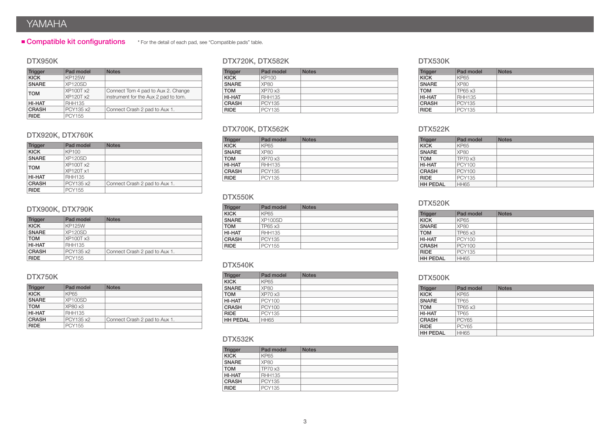# YAMAHA

#### **Compatible kit configurations** \* For the detail of each pad, see "Compatible pads" table.

#### DTX950K

| <b>Trigger</b> | Pad model                     | <b>Notes</b>                                                               |
|----------------|-------------------------------|----------------------------------------------------------------------------|
| <b>KICK</b>    | <b>KP125W</b>                 |                                                                            |
| <b>SNARE</b>   | XP120SD                       |                                                                            |
| <b>TOM</b>     | XP100T x2<br><b>XP120T x2</b> | Connect Tom 4 pad to Aux 2. Change<br>instrument for the Aux 2 pad to tom. |
| <b>HI-HAT</b>  | <b>RHH135</b>                 |                                                                            |
| <b>CRASH</b>   | PCY135 x2                     | Connect Crash 2 pad to Aux 1.                                              |
| <b>RIDE</b>    | <b>PCY155</b>                 |                                                                            |

#### DTX920K, DTX760K

| <b>Trigger</b> | Pad model     | <b>Notes</b>                  |
|----------------|---------------|-------------------------------|
| <b>KICK</b>    | KP100         |                               |
| <b>SNARE</b>   | XP120SD       |                               |
| <b>TOM</b>     | XP100T x2     |                               |
|                | XP120T x1     |                               |
| HI-HAT         | <b>RHH135</b> |                               |
| <b>CRASH</b>   | PCY135 x2     | Connect Crash 2 pad to Aux 1. |
| <b>RIDE</b>    | PCY155        |                               |

#### DTX900K, DTX790K

| <b>Trigger</b> | Pad model        | <b>Notes</b>                  |
|----------------|------------------|-------------------------------|
| <b>KICK</b>    | <b>KP125W</b>    |                               |
| <b>SNARE</b>   | XP120SD          |                               |
| <b>TOM</b>     | <b>XP100T x3</b> |                               |
| HI-HAT         | <b>RHH135</b>    |                               |
| <b>CRASH</b>   | PCY135 x2        | Connect Crash 2 pad to Aux 1. |
| <b>RIDE</b>    | <b>PCY155</b>    |                               |

#### DTX750K

| <b>Trigger</b> | Pad model     | <b>Notes</b>                  |
|----------------|---------------|-------------------------------|
| <b>KICK</b>    | KP65          |                               |
| <b>SNARE</b>   | XP100SD       |                               |
| <b>TOM</b>     | XP80x3        |                               |
| HI-HAT         | <b>RHH135</b> |                               |
| <b>CRASH</b>   | PCY135 x2     | Connect Crash 2 pad to Aux 1. |
| <b>RIDE</b>    | PCY155        |                               |

#### DTX720K, DTX582K

| <b>Trigger</b> | Pad model     | <b>Notes</b> |
|----------------|---------------|--------------|
| <b>KICK</b>    | KP100         |              |
| <b>SNARE</b>   | XP80          |              |
| <b>TOM</b>     | XP70 x3       |              |
| HI-HAT         | <b>RHH135</b> |              |
| <b>CRASH</b>   | PCY135        |              |
| <b>RIDE</b>    | <b>PCY135</b> |              |

#### DTX700K, DTX562K

| <b>Trigger</b> | Pad model     | <b>Notes</b> |
|----------------|---------------|--------------|
| <b>KICK</b>    | <b>KP65</b>   |              |
| <b>SNARE</b>   | XP80          |              |
| <b>TOM</b>     | XP70 x3       |              |
| HI-HAT         | <b>RHH135</b> |              |
| <b>CRASH</b>   | PCY135        |              |
| <b>RIDE</b>    | <b>PCY135</b> |              |

#### DTX550K

| <b>Trigger</b> | Pad model     | <b>Notes</b> |
|----------------|---------------|--------------|
| <b>KICK</b>    | KP65          |              |
| <b>SNARE</b>   | XP100SD       |              |
| <b>TOM</b>     | TP65 x3       |              |
| HI-HAT         | <b>RHH135</b> |              |
| <b>CRASH</b>   | PCY135        |              |
| <b>RIDE</b>    | <b>PCY155</b> |              |

#### DTX540K

| <b>Trigger</b>  | Pad model     | <b>Notes</b> |
|-----------------|---------------|--------------|
| <b>KICK</b>     | <b>KP65</b>   |              |
| <b>SNARE</b>    | XP80          |              |
| <b>TOM</b>      | XP70 x3       |              |
| HI-HAT          | <b>PCY100</b> |              |
| <b>CRASH</b>    | PCY100        |              |
| <b>RIDE</b>     | PCY135        |              |
| <b>HH PEDAL</b> | <b>HH65</b>   |              |

#### DTX532K

| <b>Trigger</b> | Pad model     | <b>Notes</b> |
|----------------|---------------|--------------|
| <b>KICK</b>    | KP65          |              |
| <b>SNARE</b>   | XP80          |              |
| <b>TOM</b>     | TP70 x3       |              |
| HI-HAT         | <b>RHH135</b> |              |
| <b>CRASH</b>   | PCY135        |              |
| <b>RIDE</b>    | <b>PCY135</b> |              |

#### DTX530K

| <b>Trigger</b> | Pad model     | <b>Notes</b> |
|----------------|---------------|--------------|
| <b>KICK</b>    | KP65          |              |
| <b>SNARE</b>   | XP80          |              |
| <b>TOM</b>     | TP65 x3       |              |
| HI-HAT         | <b>RHH135</b> |              |
| <b>CRASH</b>   | <b>PCY135</b> |              |
| <b>RIDE</b>    | <b>PCY135</b> |              |

#### DTX522K

| <b>Trigger</b>  | Pad model     | <b>Notes</b> |
|-----------------|---------------|--------------|
| <b>KICK</b>     | <b>KP65</b>   |              |
| <b>SNARE</b>    | XP80          |              |
| <b>TOM</b>      | TP70 x3       |              |
| HI-HAT          | PCY100        |              |
| <b>CRASH</b>    | PCY100        |              |
| <b>RIDE</b>     | <b>PCY135</b> |              |
| <b>HH PEDAL</b> | <b>HH65</b>   |              |

#### DTX520K

| <b>Trigger</b>  | Pad model     | <b>Notes</b> |
|-----------------|---------------|--------------|
| <b>KICK</b>     | KP65          |              |
| <b>SNARE</b>    | XP80          |              |
| <b>TOM</b>      | TP65 x3       |              |
| <b>HI-HAT</b>   | PCY100        |              |
| <b>CRASH</b>    | <b>PCY100</b> |              |
| <b>RIDE</b>     | <b>PCY135</b> |              |
| <b>HH PEDAL</b> | <b>HH65</b>   |              |

#### DTX500K

| Trigger         | Pad model   | <b>Notes</b> |
|-----------------|-------------|--------------|
| <b>KICK</b>     | KP65        |              |
| <b>SNARE</b>    | <b>TP65</b> |              |
| <b>TOM</b>      | TP65 x3     |              |
| HI-HAT          | <b>TP65</b> |              |
| <b>CRASH</b>    | PCY65       |              |
| <b>RIDE</b>     | PCY65       |              |
| <b>HH PEDAL</b> | <b>HH65</b> |              |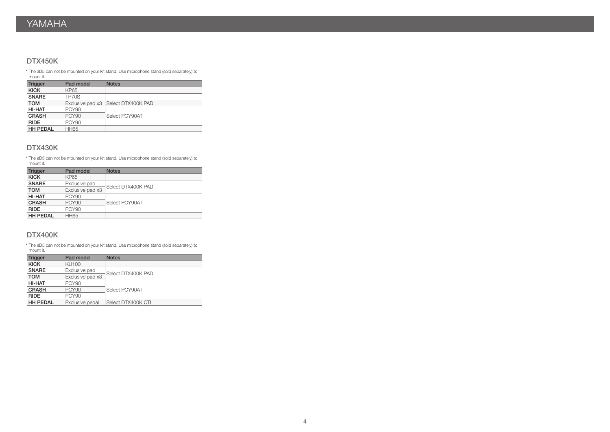#### DTX450K

\* The aD5 can not be mounted on your kit stand. Use microphone stand (sold separately) to mount it.

| <b>Trigger</b>  | Pad model        | <b>Notes</b>       |  |  |
|-----------------|------------------|--------------------|--|--|
| <b>KICK</b>     | KP65             |                    |  |  |
| <b>SNARE</b>    | TP70S            |                    |  |  |
| <b>TOM</b>      | Exclusive pad x3 | Select DTX400K PAD |  |  |
| HI-HAT          | <b>PCY90</b>     |                    |  |  |
| <b>CRASH</b>    | <b>PCY90</b>     | Select PCY90AT     |  |  |
| <b>RIDE</b>     | <b>PCY90</b>     |                    |  |  |
| <b>HH PEDAL</b> | <b>HH65</b>      |                    |  |  |

#### DTX430K

\* The aD5 can not be mounted on your kit stand. Use microphone stand (sold separately) to mount it.

| Trigger         | Pad model        | <b>Notes</b>       |  |  |  |
|-----------------|------------------|--------------------|--|--|--|
| <b>KICK</b>     | KP65             |                    |  |  |  |
| <b>SNARE</b>    | Exclusive pad    |                    |  |  |  |
| <b>TOM</b>      | Exclusive pad x3 | Select DTX400K PAD |  |  |  |
| HI-HAT          | <b>PCY90</b>     |                    |  |  |  |
| <b>CRASH</b>    | <b>PCY90</b>     | Select PCY90AT     |  |  |  |
| <b>RIDE</b>     | <b>PCY90</b>     |                    |  |  |  |
| <b>HH PEDAL</b> | <b>HH65</b>      |                    |  |  |  |

#### DTX400K

\* The aD5 can not be mounted on your kit stand. Use microphone stand (sold separately) to mount it.

| <b>Trigger</b>  | Pad model        | <b>Notes</b>       |  |  |  |
|-----------------|------------------|--------------------|--|--|--|
| <b>KICK</b>     | <b>KU100</b>     |                    |  |  |  |
| <b>SNARE</b>    | Exclusive pad    | Select DTX400K PAD |  |  |  |
| <b>TOM</b>      | Exclusive pad x3 |                    |  |  |  |
| HI-HAT          | <b>PCY90</b>     |                    |  |  |  |
| <b>CRASH</b>    | <b>PCY90</b>     | Select PCY90AT     |  |  |  |
| <b>RIDE</b>     | <b>PCY90</b>     |                    |  |  |  |
| <b>HH PEDAL</b> | Exclusive pedal  | Select DTX400K CTL |  |  |  |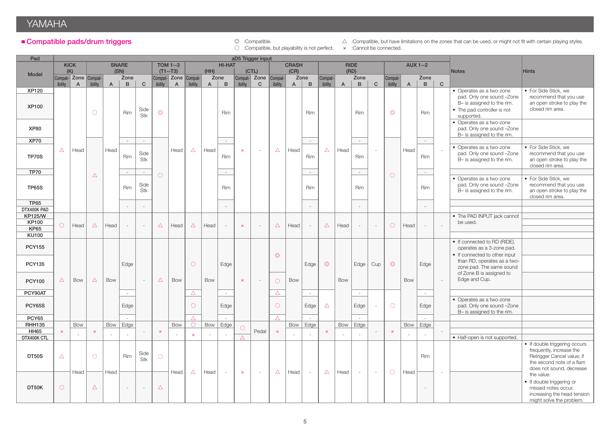# YAMAHA

#### ■ Compatible pads/drum triggers

© :Compatible.<br>  $\circledcirc$  :Compatible, but playability is not perfect.  $\times$  :Cannot be connected.

 $\triangle$  :Compatible, but have limitations on the zones that can be used, or might not fit with certain playing styles.

| Pad                            | aD5 Trigger input |                                                                                                                   |              |              |                          |                          |                       |                      |              |              |                          |                         |                          |                       |              |                             |                |              |                |              |                |                |                          |              |                                                              |                                                        |
|--------------------------------|-------------------|-------------------------------------------------------------------------------------------------------------------|--------------|--------------|--------------------------|--------------------------|-----------------------|----------------------|--------------|--------------|--------------------------|-------------------------|--------------------------|-----------------------|--------------|-----------------------------|----------------|--------------|----------------|--------------|----------------|----------------|--------------------------|--------------|--------------------------------------------------------------|--------------------------------------------------------|
|                                |                   | <b>KICK</b><br><b>SNARE</b><br><b>TOM 1--3</b><br><b>HI-HAT</b><br><b>CRASH</b><br><b>RIDE</b><br><b>AUX 1--2</b> |              |              |                          |                          |                       |                      |              |              |                          |                         |                          |                       |              |                             |                |              |                |              |                |                |                          |              |                                                              |                                                        |
| Model                          | (K)               |                                                                                                                   |              | (SN)         |                          |                          |                       | $(T1--T3)$           |              | (HH)         |                          |                         | (CTL)                    |                       | (CR)         |                             |                | (RD)         |                |              |                |                |                          |              | <b>Notes</b>                                                 | <b>Hints</b>                                           |
|                                |                   | Compat- Zone Compat-                                                                                              |              |              | Zone                     |                          |                       | Compat- Zone Compat- |              | Zone         |                          |                         | Compat- Zone             | Compat-               |              | Zone                        | Compat-        |              | Zone           |              | Compat-        |                | Zone                     |              |                                                              |                                                        |
| <b>XP120</b>                   | ibility           | $\overline{A}$                                                                                                    | ibility      | $\mathsf{A}$ | $\mathbf{B}$             | $\mathbf{C}$             | ibility               | $\mathsf{A}$         | ibility      | $\mathsf{A}$ | $\mathbf{B}$             | ibility                 | $\mathbf{C}$             | ibility               | $\mathsf{A}$ | $\, {\bf B} \,$             | ibility        | $\mathsf{A}$ | $\overline{B}$ | $\mathbf{C}$ | ibility        | $\overline{A}$ | $\mathbf{B}$             | $\mathbf{C}$ | • Operates as a two-zone                                     | • For Side Stick, we                                   |
|                                |                   |                                                                                                                   |              |              |                          |                          |                       |                      |              |              |                          |                         |                          |                       |              |                             |                |              |                |              |                |                |                          |              | pad. Only one sound -Zone                                    | recommend that you use                                 |
| <b>XP100</b>                   |                   |                                                                                                                   |              |              |                          |                          |                       |                      |              |              |                          |                         |                          |                       |              |                             |                |              |                |              |                |                |                          |              | B- is assigned to the rim.                                   | an open stroke to play the                             |
|                                |                   |                                                                                                                   | $\circ$      |              | Rim                      | Side                     | $\circledcirc$        |                      |              |              | Rim                      |                         |                          |                       |              | <b>Rim</b>                  |                |              | Rim            |              | $\circledcirc$ |                | Rim                      |              | • The pad controller is not                                  | closed rim area.                                       |
|                                |                   |                                                                                                                   |              |              |                          | Stk                      |                       |                      |              |              |                          |                         |                          |                       |              |                             |                |              |                |              |                |                |                          |              | supported.<br>• Operates as a two-zone                       |                                                        |
| <b>XP80</b>                    |                   |                                                                                                                   |              |              |                          |                          |                       |                      |              |              |                          |                         |                          |                       |              |                             |                |              |                |              |                |                |                          |              | pad. Only one sound -Zone                                    |                                                        |
|                                |                   |                                                                                                                   |              |              |                          |                          |                       |                      |              |              |                          |                         |                          |                       |              |                             |                |              |                |              |                |                |                          |              | B- is assigned to the rim.                                   |                                                        |
| <b>XP70</b>                    |                   |                                                                                                                   |              |              | $\sim$                   | $\sim$                   |                       |                      |              |              | $\sim$                   |                         |                          |                       |              | $\sim$                      |                |              | $\sim$         |              |                |                | $\sim$                   |              |                                                              |                                                        |
|                                | $\triangle$       | Head                                                                                                              |              | Head         |                          | Side                     |                       | Head                 | $\triangle$  | Head         |                          | $\pmb{\times}$          | $\sim$                   | $\triangle$           | Head         |                             | $\triangle$    | Head         |                | ÷,           |                | Head           |                          | $\sim$       | • Operates as a two-zone                                     | • For Side Stick, we                                   |
| <b>TP70S</b>                   |                   |                                                                                                                   |              |              | Rim                      | Stk                      |                       |                      |              |              | Rim                      |                         |                          |                       |              | Rim                         |                |              | Rim            |              |                |                | Rim                      |              | pad. Only one sound -Zone<br>B- is assigned to the rim.      | recommend that you use<br>an open stroke to play the   |
|                                |                   |                                                                                                                   |              |              |                          |                          |                       |                      |              |              |                          |                         |                          |                       |              |                             |                |              |                |              |                |                |                          |              |                                                              | closed rim area.                                       |
| <b>TP70</b>                    |                   |                                                                                                                   | $\triangle$  |              | $\sim$                   | $\sim$                   | $\bigcirc$            |                      |              |              | $\sim$                   |                         |                          |                       |              | $\mathcal{L}_{\mathcal{A}}$ |                |              | $\sim$         |              | $\circ$        |                | $\sim$                   |              |                                                              |                                                        |
|                                |                   |                                                                                                                   |              |              |                          |                          |                       |                      |              |              |                          |                         |                          |                       |              |                             |                |              |                |              |                |                |                          |              | • Operates as a two-zone                                     | • For Side Stick, we                                   |
| <b>TP65S</b>                   |                   |                                                                                                                   |              |              | Rim                      | Side<br>Stk              |                       |                      |              |              | Rim                      |                         |                          |                       |              | <b>Rim</b>                  |                |              | Rim            |              |                |                | Rim                      |              | pad. Only one sound -Zone<br>B- is assigned to the rim.      | recommend that you use<br>an open stroke to play the   |
|                                |                   |                                                                                                                   |              |              |                          |                          |                       |                      |              |              |                          |                         |                          |                       |              |                             |                |              |                |              |                |                |                          |              |                                                              | closed rim area.                                       |
| <b>TP65</b>                    |                   |                                                                                                                   |              |              | $\overline{\phantom{a}}$ | $\overline{\phantom{a}}$ |                       |                      |              |              |                          |                         |                          |                       |              | $\sim$                      |                |              | $\sim$         |              |                |                | $\overline{\phantom{a}}$ |              |                                                              |                                                        |
| DTX400K PAD                    |                   |                                                                                                                   |              |              |                          |                          |                       |                      |              |              |                          |                         |                          |                       |              |                             |                |              |                |              |                |                |                          |              |                                                              |                                                        |
| <b>KP125/W</b><br><b>KP100</b> |                   |                                                                                                                   |              |              |                          |                          |                       |                      |              |              |                          |                         |                          |                       |              |                             |                |              |                |              |                |                |                          |              | • The PAD INPUT jack cannot<br>be used.                      |                                                        |
| <b>KP65</b>                    | $\circ$           | Head                                                                                                              | $\triangle$  | Head         | $\mathcal{L}$            | $\sim$                   | $\triangle$           | Head                 | $\triangle$  | Head         |                          | $\mathsf{x}$            | $\sim$                   | $\triangle$           | Head         | $\sim$                      | $\triangle$    | Head         | $\sim$         | $\sim$       | $\bigcirc$     | Head           | $\sim$                   | $\sim$       |                                                              |                                                        |
| <b>KU100</b>                   |                   |                                                                                                                   |              |              |                          |                          |                       |                      |              |              |                          |                         |                          |                       |              |                             |                |              |                |              |                |                |                          |              |                                                              |                                                        |
|                                |                   |                                                                                                                   |              |              |                          |                          |                       |                      |              |              |                          |                         |                          |                       |              |                             |                |              |                |              |                |                |                          |              | • If connected to RD (RIDE),                                 |                                                        |
| <b>PCY155</b>                  |                   |                                                                                                                   |              |              |                          |                          |                       |                      |              |              |                          |                         |                          |                       |              |                             |                |              |                |              |                |                |                          |              | operates as a 3-zone pad.                                    |                                                        |
|                                |                   |                                                                                                                   |              |              |                          |                          |                       |                      |              |              |                          |                         |                          | $\circledcirc$        |              |                             |                |              |                |              |                |                |                          |              | • If connected to other input<br>than RD, operates as a two- |                                                        |
| <b>PCY135</b>                  |                   |                                                                                                                   |              |              | Edge                     |                          |                       |                      | $\circ$      |              | Edge                     |                         |                          |                       |              | Edge                        | $\circledcirc$ |              | Edge           | Cup          | $\circledcirc$ |                | Edge                     |              | zone pad. The same sound                                     |                                                        |
|                                |                   |                                                                                                                   |              |              |                          |                          |                       |                      |              |              |                          |                         |                          |                       |              |                             |                |              |                |              |                |                |                          |              | of Zone B is assigned to                                     |                                                        |
| <b>PCY100</b>                  | $\triangle$       | <b>Bow</b>                                                                                                        | $\triangle$  | Bow          |                          | $\sim$                   | $\triangle$           | Bow                  |              | <b>Bow</b>   |                          | $\overline{\mathsf{x}}$ | $\overline{\phantom{a}}$ | $\bigcirc$            | <b>Bow</b>   |                             |                | Bow          |                |              |                | <b>Bow</b>     |                          | $\sim$       | Edge and Cup.                                                |                                                        |
| PCY90AT                        |                   |                                                                                                                   |              |              | $\sim$                   |                          |                       |                      |              |              | $\sim$                   |                         |                          | $\triangle$           |              | $\sim$                      |                |              | $\sim$         |              |                |                | $\sim$                   |              |                                                              |                                                        |
|                                |                   |                                                                                                                   |              |              |                          |                          |                       |                      | $\triangle$  |              |                          |                         |                          |                       |              |                             |                |              |                |              |                |                |                          |              | • Operates as a two-zone                                     |                                                        |
| <b>PCY65S</b>                  |                   |                                                                                                                   |              |              | Edge                     |                          |                       |                      | $\circ$      |              | Edge                     |                         |                          | $\circ$               |              | Edge                        | $\triangle$    |              | Edge           | $\sim$       | $\circ$        |                | Edge                     |              | pad. Only one sound -Zone                                    |                                                        |
|                                |                   |                                                                                                                   |              |              |                          |                          |                       |                      |              |              |                          |                         |                          |                       |              |                             |                |              |                |              |                |                |                          |              | B- is assigned to the rim.                                   |                                                        |
| <b>PCY65</b><br><b>RHH135</b>  |                   | <b>Bow</b>                                                                                                        |              | Bow          | $\sim$<br>Edge           |                          |                       | Bow                  | $\triangle$  | Bow          | $\sim$<br>Edge           |                         |                          | $\triangle$           | Bow          | $\sim$<br>Edge              |                | Bow          | $\sim$<br>Edge |              |                |                | $\sim$<br>Bow   Edge     |              |                                                              |                                                        |
| <b>HH65</b>                    | $\mathbf{\times}$ |                                                                                                                   | $\mathsf{x}$ |              |                          | $\overline{\phantom{a}}$ | $\boldsymbol{\times}$ |                      |              |              |                          | 0                       | Pedal                    | $\boldsymbol{\times}$ |              |                             | $\times$       |              |                | $\sim$       | $\times$       |                |                          |              |                                                              |                                                        |
| DTX400K CTL                    |                   |                                                                                                                   |              |              | $\overline{\phantom{a}}$ |                          |                       |                      | $\mathsf{x}$ |              |                          | $\triangle$             |                          |                       |              | $\sim$                      |                |              | $\sim$         |              |                |                | $\sim$                   |              | • Half-open is not supported.                                |                                                        |
|                                |                   |                                                                                                                   |              |              |                          |                          |                       |                      |              |              |                          |                         |                          |                       |              |                             |                |              |                |              |                |                |                          |              |                                                              | • If double triggering occurs                          |
| DT50S                          | $\triangle$       |                                                                                                                   | $\circ$      |              | Rim                      | Side                     | $\bigcirc$            |                      |              |              |                          |                         |                          |                       |              |                             |                |              |                |              |                |                | Rim                      |              |                                                              | frequently, increase the<br>Retrigger Cancel value; if |
|                                |                   |                                                                                                                   |              |              |                          | Stk                      |                       |                      |              |              |                          |                         |                          |                       |              |                             |                |              |                |              |                |                |                          |              |                                                              | the second note of a flam                              |
|                                |                   |                                                                                                                   |              |              |                          |                          |                       |                      |              |              |                          |                         | $\sim$                   |                       |              | $\sim$                      |                |              |                | $\sim$       |                | Head           |                          | $\sim$       |                                                              | does not sound, decrease                               |
|                                |                   | Head                                                                                                              |              | Head         |                          |                          |                       | Head                 | $\triangle$  | Head         | $\overline{\phantom{a}}$ | $\bar{\mathsf{x}}$      |                          | $\triangle$           | Head         |                             | $\triangle$    | Head         | $\sim$         |              | $\circ$        |                |                          |              |                                                              | the value.                                             |
| DT50K                          | $\bigcirc$        |                                                                                                                   |              |              |                          |                          |                       |                      |              |              |                          |                         |                          |                       |              |                             |                |              |                |              |                |                |                          |              |                                                              | • If double triggering or                              |
|                                |                   |                                                                                                                   | $\triangle$  |              | $\overline{\phantom{a}}$ | $\sim$                   | $\triangle$           |                      |              |              |                          |                         |                          |                       |              |                             |                |              |                |              |                |                | $\sim$                   |              |                                                              | missed notes occur.<br>increasing the head tension     |
|                                |                   |                                                                                                                   |              |              |                          |                          |                       |                      |              |              |                          |                         |                          |                       |              |                             |                |              |                |              |                |                |                          |              |                                                              | might solve the problem.                               |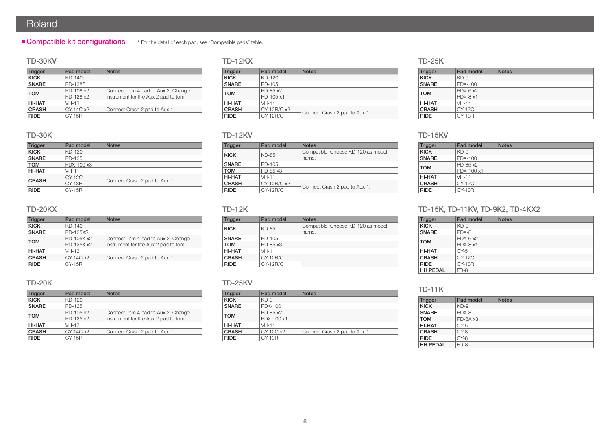# Roland

#### **Compatible kit configurations** \* For the detail of each pad, see "Compatible pads" table.

#### TD-30KV

| <b>Trigger</b> | Pad model      | <b>Notes</b>                         |
|----------------|----------------|--------------------------------------|
| <b>KICK</b>    | $KD-140$       |                                      |
| <b>SNARE</b>   | <b>PD-128S</b> |                                      |
| <b>TOM</b>     | PD-108 x2      | Connect Tom 4 pad to Aux 2. Change   |
|                | PD-128 x2      | instrument for the Aux 2 pad to tom. |
| HI-HAT         | $VH-13$        |                                      |
| <b>CRASH</b>   | CY-14C x2      | Connect Crash 2 pad to Aux 1.        |
| <b>RIDE</b>    | CY-15R         |                                      |

#### TD-30K

| <b>Trigger</b> | Pad model                 | <b>Notes</b>                  |
|----------------|---------------------------|-------------------------------|
| <b>KICK</b>    | KD-120                    |                               |
| <b>SNARE</b>   | PD-125                    |                               |
| <b>TOM</b>     | PDX-100 x3                |                               |
| <b>HI-HAT</b>  | $VH-11$                   |                               |
| <b>CRASH</b>   | $CY-12C$<br><b>CY-13R</b> | Connect Crash 2 pad to Aux 1. |
| <b>RIDE</b>    | CY-15R                    |                               |

#### TD-20KX

| <b>Trigger</b> | Pad model                | <b>Notes</b>                                                               |
|----------------|--------------------------|----------------------------------------------------------------------------|
| <b>KICK</b>    | $KD-140$                 |                                                                            |
| <b>SNARE</b>   | <b>PD-125XS</b>          |                                                                            |
| <b>TOM</b>     | PD-105X x2<br>PD-125X x2 | Connect Tom 4 pad to Aux 2. Change<br>instrument for the Aux 2 pad to tom. |
| HI-HAT         | VH-12                    |                                                                            |
| <b>CRASH</b>   | CY-14C x2                | Connect Crash 2 pad to Aux 1.                                              |
| <b>RIDE</b>    | <b>CY-15R</b>            |                                                                            |

#### TD-20K

| <b>Trigger</b> | Pad model              | <b>Notes</b>                                                               |  |  |  |
|----------------|------------------------|----------------------------------------------------------------------------|--|--|--|
| <b>KICK</b>    | KD-120                 |                                                                            |  |  |  |
| <b>SNARE</b>   | PD-125                 |                                                                            |  |  |  |
| <b>TOM</b>     | PD-105 x2<br>PD-125 x2 | Connect Tom 4 pad to Aux 2. Change<br>instrument for the Aux 2 pad to tom. |  |  |  |
| HI-HAT         | VH-12                  |                                                                            |  |  |  |
| <b>CRASH</b>   | CY-14C x2              | Connect Crash 2 pad to Aux 1.                                              |  |  |  |
| <b>RIDE</b>    | CY-15R                 |                                                                            |  |  |  |

#### TD-12KX

| <b>Trigger</b> | Pad model   | <b>Notes</b>                  |  |  |  |  |
|----------------|-------------|-------------------------------|--|--|--|--|
| <b>KICK</b>    | KD-120      |                               |  |  |  |  |
| <b>SNARE</b>   | PD-105      |                               |  |  |  |  |
| <b>TOM</b>     | PD-85 x2    |                               |  |  |  |  |
|                | PD-105 x1   |                               |  |  |  |  |
| <b>HI-HAT</b>  | $VH-11$     |                               |  |  |  |  |
| <b>CRASH</b>   | CY-12R/C x2 |                               |  |  |  |  |
| <b>RIDE</b>    | CY-12R/C    | Connect Crash 2 pad to Aux 1. |  |  |  |  |

#### TD-12KV

| <b>Trigger</b> | Pad model   | <b>Notes</b>                       |
|----------------|-------------|------------------------------------|
| <b>KICK</b>    | KD-85       | Compatible. Choose KD-120 as model |
|                |             | name.                              |
| <b>SNARE</b>   | PD-105      |                                    |
| <b>TOM</b>     | PD-85 x3    |                                    |
| HI-HAT         | $VH-11$     |                                    |
| <b>CRASH</b>   | CY-12R/C x2 | Connect Crash 2 pad to Aux 1.      |
| <b>RIDE</b>    | CY-12R/C    |                                    |

#### TD-12K

| <b>Trigger</b> | Pad model | <b>Notes</b>                                |
|----------------|-----------|---------------------------------------------|
| <b>KICK</b>    | KD-85     | Compatible. Choose KD-120 as model<br>name. |
| <b>SNARE</b>   | PD-105    |                                             |
| <b>TOM</b>     | PD-85 x3  |                                             |
| HI-HAT         | $VH-11$   |                                             |
| <b>CRASH</b>   | CY-12R/C  |                                             |
| <b>RIDE</b>    | CY-12R/C  |                                             |

#### TD-25KV

| <b>Trigger</b> | Pad model  | <b>Notes</b>                  |
|----------------|------------|-------------------------------|
| <b>KICK</b>    | $KD-9$     |                               |
| <b>SNARE</b>   | PDX-100    |                               |
| <b>TOM</b>     | PD-85 x2   |                               |
|                | PDX-100 x1 |                               |
| <b>HI-HAT</b>  | $VH-11$    |                               |
| <b>CRASH</b>   | CY-12C x2  | Connect Crash 2 pad to Aux 1. |
| <b>RIDE</b>    | CY-13R     |                               |

#### TD-25K

| <b>Trigger</b> | Pad model        | <b>Notes</b> |
|----------------|------------------|--------------|
| <b>KICK</b>    | $KD-9$           |              |
| <b>SNARE</b>   | PDX-100          |              |
| <b>TOM</b>     | $PDX-6 \times 2$ |              |
|                | $PDX-8 \times 1$ |              |
| HI-HAT         | $VH-11$          |              |
| <b>CRASH</b>   | CY-12C           |              |
| <b>RIDE</b>    | <b>CY-13R</b>    |              |

#### TD-15KV

| Trigger      | Pad model              | <b>Notes</b> |
|--------------|------------------------|--------------|
| <b>KICK</b>  | $KD-9$                 |              |
| <b>SNARE</b> | PDX-100                |              |
| <b>TOM</b>   | PD-85 x2<br>PDX-100 x1 |              |
| HI-HAT       | $VH-11$                |              |
| <b>CRASH</b> | <b>CY-12C</b>          |              |
| <b>RIDE</b>  | CY-13R                 |              |

#### TD-15K, TD-11KV, TD-9K2, TD-4KX2

| <b>Trigger</b>  | Pad model                            | <b>Notes</b> |
|-----------------|--------------------------------------|--------------|
| <b>KICK</b>     | $KD-9$                               |              |
| <b>SNARE</b>    | PDX-8                                |              |
| <b>TOM</b>      | $PDX-6 \times 2$<br>$PDX-8 \times 1$ |              |
| HI-HAT          | $CY-5$                               |              |
| <b>CRASH</b>    | CY-12C                               |              |
| <b>RIDE</b>     | <b>CY-13R</b>                        |              |
| <b>HH PEDAL</b> | FD-8                                 |              |

#### TD-11K

| <b>Trigger</b>  | Pad model | <b>Notes</b> |
|-----------------|-----------|--------------|
| <b>KICK</b>     | $KD-9$    |              |
| <b>SNARE</b>    | PDX-8     |              |
| <b>TOM</b>      | PD-8A x3  |              |
| HI-HAT          | $CY-5$    |              |
| <b>CRASH</b>    | $CY-8$    |              |
| <b>RIDE</b>     | CY-8      |              |
| <b>HH PEDAL</b> | $FD-8$    |              |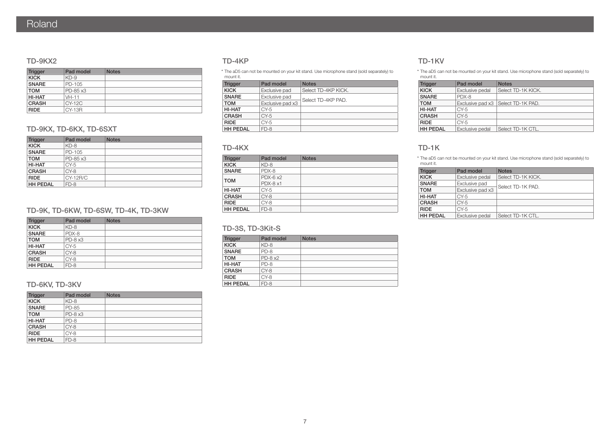#### TD-9KX2

| <b>Trigger</b> | Pad model | <b>Notes</b> |
|----------------|-----------|--------------|
| <b>KICK</b>    | $KD-9$    |              |
| <b>SNARE</b>   | PD-105    |              |
| <b>TOM</b>     | PD-85 x3  |              |
| HI-HAT         | $VH-11$   |              |
| <b>CRASH</b>   | $CY-12C$  |              |
| <b>RIDE</b>    | CY-13R    |              |

#### TD-9KX, TD-6KX, TD-6SXT

| <b>Trigger</b>  | Pad model | <b>Notes</b> |
|-----------------|-----------|--------------|
| <b>KICK</b>     | $KD-8$    |              |
| <b>SNARE</b>    | PD-105    |              |
| <b>TOM</b>      | PD-85 x3  |              |
| <b>HI-HAT</b>   | $CY-5$    |              |
| <b>CRASH</b>    | $CY-8$    |              |
| <b>RIDE</b>     | CY-12R/C  |              |
| <b>HH PEDAL</b> | $FD-8$    |              |

#### TD-9K, TD-6KW, TD-6SW, TD-4K, TD-3KW

| <b>Trigger</b>  | Pad model | <b>Notes</b> |
|-----------------|-----------|--------------|
| <b>KICK</b>     | $KD-8$    |              |
| <b>SNARE</b>    | PDX-8     |              |
| <b>TOM</b>      | $PD-8x3$  |              |
| <b>HI-HAT</b>   | $CY-5$    |              |
| <b>CRASH</b>    | CY-8      |              |
| <b>RIDE</b>     | CY-8      |              |
| <b>HH PEDAL</b> | $FD-8$    |              |

#### TD-6KV, TD-3KV

| <b>Trigger</b>  | Pad model    | <b>Notes</b> |
|-----------------|--------------|--------------|
| <b>KICK</b>     | $KD-8$       |              |
| <b>SNARE</b>    | <b>PD-85</b> |              |
| <b>TOM</b>      | $PD-8x3$     |              |
| HI-HAT          | $PD-8$       |              |
| <b>CRASH</b>    | $CY-8$       |              |
| <b>RIDE</b>     | CY-8         |              |
| <b>HH PEDAL</b> | $FD-8$       |              |

#### TD-4KP

\* The aD5 can not be mounted on your kit stand. Use microphone stand (sold separately) to mount it.

| <b>Trigger</b>  | Pad model        | <b>Notes</b>        |
|-----------------|------------------|---------------------|
| <b>KICK</b>     | Exclusive pad    | Select TD-4KP KICK. |
| <b>SNARE</b>    | Exclusive pad    | Select TD-4KP PAD.  |
| <b>TOM</b>      | Exclusive pad x3 |                     |
| HI-HAT          | $CY-5$           |                     |
| <b>CRASH</b>    | $CY-5$           |                     |
| <b>RIDE</b>     | $CY-5$           |                     |
| <b>HH PEDAL</b> | $FD-8$           |                     |

#### TD-4KX

| <b>Trigger</b>  | Pad model                            | <b>Notes</b> |
|-----------------|--------------------------------------|--------------|
| <b>KICK</b>     | $KD-8$                               |              |
| <b>SNARE</b>    | PDX-8                                |              |
| <b>TOM</b>      | $PDX-6 \times 2$<br>$PDX-8 \times 1$ |              |
| HI-HAT          | $CY-5$                               |              |
| <b>CRASH</b>    | CY-8                                 |              |
| <b>RIDE</b>     | CY-8                                 |              |
| <b>HH PEDAL</b> | $FD-8$                               |              |

#### TD-3S, TD-3Kit-S

| <b>Trigger</b>  | Pad model | <b>Notes</b> |
|-----------------|-----------|--------------|
| <b>KICK</b>     | $KD-8$    |              |
| <b>SNARE</b>    | $PD-8$    |              |
| <b>TOM</b>      | $PD-8x2$  |              |
| HI-HAT          | $PD-8$    |              |
| <b>CRASH</b>    | $CY-8$    |              |
| <b>RIDE</b>     | $CY-8$    |              |
| <b>HH PEDAL</b> | $FD-8$    |              |

#### TD-1KV

\* The aD5 can not be mounted on your kit stand. Use microphone stand (sold separately) to mount it.

| <b>Trigger</b>  | Pad model       | <b>Notes</b>                         |
|-----------------|-----------------|--------------------------------------|
| <b>KICK</b>     | Exclusive pedal | Select TD-1K KICK.                   |
| <b>SNARE</b>    | PDX-8           |                                      |
| <b>TOM</b>      |                 | Exclusive pad x3   Select TD-1K PAD. |
| <b>HI-HAT</b>   | $CY-5$          |                                      |
| <b>CRASH</b>    | $CY-5$          |                                      |
| <b>RIDE</b>     | $CY-5$          |                                      |
| <b>HH PEDAL</b> | Exclusive pedal | Select TD-1K CTL.                    |

#### TD-1K

\* The aD5 can not be mounted on your kit stand. Use microphone stand (sold separately) to mount it.

| <b>Trigger</b>  | Pad model        | <b>Notes</b>       |
|-----------------|------------------|--------------------|
| <b>KICK</b>     | Exclusive pedal  | Select TD-1K KICK. |
| <b>SNARE</b>    | Exclusive pad    | Select TD-1K PAD.  |
| <b>TOM</b>      | Exclusive pad x3 |                    |
| <b>HI-HAT</b>   | $CY-5$           |                    |
| <b>CRASH</b>    | $CY-5$           |                    |
| <b>RIDE</b>     | $CY-5$           |                    |
| <b>HH PEDAL</b> | Exclusive pedal  | Select TD-1K CTL.  |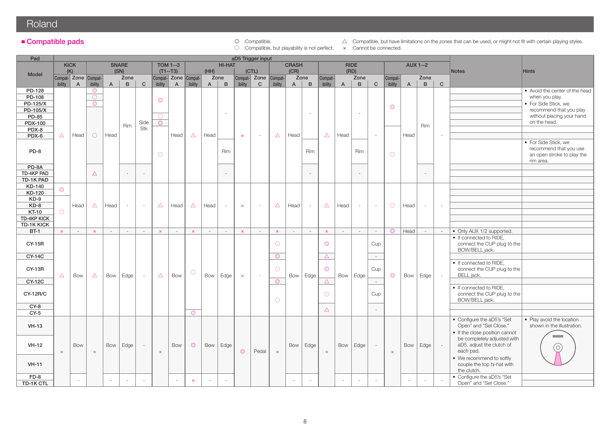# Roland<sup>1</sup>

○ :Compatible, but playability is not perfect. × :Cannot be connected.

■ Compatible pads **and a** :Compatible compatible compatible compatible, but have limitations on the zones that can be used, or might not fit with certain playing styles.

| Pad                                      |                   |                      |                                         |              |              |                          |                       |                                    |                       |              |                          |                | aD5 Trigger input             |                       |                |                          |                       |                |                          |                          |                |                 |                          |              |                                                                                        |                                                                                                     |
|------------------------------------------|-------------------|----------------------|-----------------------------------------|--------------|--------------|--------------------------|-----------------------|------------------------------------|-----------------------|--------------|--------------------------|----------------|-------------------------------|-----------------------|----------------|--------------------------|-----------------------|----------------|--------------------------|--------------------------|----------------|-----------------|--------------------------|--------------|----------------------------------------------------------------------------------------|-----------------------------------------------------------------------------------------------------|
|                                          |                   | <b>KICK</b>          |                                         |              | <b>SNARE</b> |                          |                       | <b>TOM 1--3</b>                    |                       |              | <b>HI-HAT</b>            |                |                               |                       | <b>CRASH</b>   |                          |                       |                | <b>RIDE</b>              |                          |                | <b>AUX 1--2</b> |                          |              |                                                                                        |                                                                                                     |
| Model                                    | (K)               | Compat- Zone Compat- |                                         |              | (SN)<br>Zone |                          |                       | $(T1--T3)$<br>Compat- Zone Compat- |                       | (HH)         | Zone                     |                | (CTL)<br>Compat- Zone Compat- |                       | (CR)           | Zone                     | Compat-               |                | (RD)<br>Zone             |                          | Compat-        |                 | Zone                     |              | <b>Notes</b>                                                                           | <b>Hints</b>                                                                                        |
|                                          | ibility           | $\overline{A}$       | ibility                                 | $\mathsf{A}$ | $\mathbf{B}$ | $\mathbf{C}$             | ibility               | $\overline{A}$                     | ibility               | $\mathsf{A}$ | $\mathsf{B}$             | ibility        | $\mathbf{C}$                  | ibility               | $\overline{A}$ | $\mathsf{B}$             | ibility               | $\overline{A}$ | B                        | $\mathbf{C}$             | ibility        | $\overline{A}$  | $\mathbf{B}$             | $\mathsf{C}$ |                                                                                        |                                                                                                     |
| PD-128<br>PD-108<br>PD-125/X<br>PD-105/X |                   |                      | $\circledcirc$<br>$\bigcirc$<br>$\odot$ |              |              |                          | $\circledcirc$        |                                    |                       |              | $\sim$                   |                |                               |                       |                | $\overline{\phantom{a}}$ |                       |                | $\overline{\phantom{a}}$ |                          | $\circledcirc$ |                 |                          |              |                                                                                        | • Avoid the center of the head<br>when you play.<br>• For Side Stick, we<br>recommend that you play |
| PD-85<br><b>PDX-100</b><br>PDX-8         |                   |                      |                                         |              | <b>Rim</b>   | Side<br>Stk              | $\bigcirc$<br>$\circ$ |                                    |                       |              |                          |                |                               |                       |                |                          |                       |                |                          |                          |                |                 | <b>Rim</b>               |              |                                                                                        | without placing your hand<br>on the head.                                                           |
| PDX-6                                    | $\triangle$       | Head                 | $\bigcirc$                              | Head         |              |                          |                       | Head                               | $\triangle$           | Head         |                          | $\pmb{\times}$ | $\sim$                        | $\triangle$           | Head           |                          | $\triangle$           | Head           |                          | $\overline{\phantom{a}}$ |                | Head            |                          |              |                                                                                        |                                                                                                     |
| PD-8                                     |                   |                      |                                         |              |              |                          | $\bigcirc$            |                                    |                       |              | <b>Rim</b>               |                |                               |                       |                | <b>Rim</b>               |                       |                | <b>Rim</b>               |                          | $\circ$        |                 |                          |              |                                                                                        | • For Side Stick, we<br>recommend that you use<br>an open stroke to play the<br>rim area.           |
| PD-8A                                    |                   |                      |                                         |              |              |                          |                       |                                    |                       |              |                          |                |                               |                       |                |                          |                       |                |                          |                          |                |                 |                          |              |                                                                                        |                                                                                                     |
| TD-4KP PAD                               |                   |                      | $\triangle$                             |              |              | $\overline{\phantom{a}}$ |                       |                                    |                       |              | $\overline{\phantom{a}}$ |                |                               |                       |                | $\overline{\phantom{a}}$ |                       |                | $\overline{\phantom{a}}$ |                          |                |                 | $\overline{\phantom{a}}$ |              |                                                                                        |                                                                                                     |
| TD-1K PAD                                |                   |                      |                                         |              |              |                          |                       |                                    |                       |              |                          |                |                               |                       |                |                          |                       |                |                          |                          |                |                 |                          |              |                                                                                        |                                                                                                     |
| KD-140<br>KD-120                         | $\circledcirc$    |                      |                                         |              |              |                          |                       |                                    |                       |              |                          |                |                               |                       |                |                          |                       |                |                          |                          |                |                 |                          |              |                                                                                        |                                                                                                     |
| $KD-9$                                   |                   |                      |                                         |              |              |                          |                       |                                    |                       |              |                          |                |                               |                       |                |                          |                       |                |                          |                          |                |                 |                          |              |                                                                                        |                                                                                                     |
| $KD-8$                                   |                   | Head                 | $\triangle$                             | Head         |              | $\sim$                   | $\triangle$           | Head                               | $\triangle$           | Head         | $\sim$                   | $\pmb{\times}$ | $\sim$                        | $\triangle$           | Head           | $\sim$                   | $\triangle$           | Head           | $\sim$                   | $\sim$                   | $\circ$        | Head            | ÷.                       |              |                                                                                        |                                                                                                     |
| <b>KT-10</b>                             | $\bigcirc$        |                      |                                         |              |              |                          |                       |                                    |                       |              |                          |                |                               |                       |                |                          |                       |                |                          |                          |                |                 |                          |              |                                                                                        |                                                                                                     |
| TD-4KP KICK                              |                   |                      |                                         |              |              |                          |                       |                                    |                       |              |                          |                |                               |                       |                |                          |                       |                |                          |                          |                |                 |                          |              |                                                                                        |                                                                                                     |
| <b>TD-1K KICK</b>                        |                   |                      |                                         |              |              |                          |                       |                                    |                       |              |                          |                |                               |                       |                |                          |                       |                |                          |                          |                |                 |                          |              |                                                                                        |                                                                                                     |
| <b>BT-1</b>                              | $\mathsf{x}$      | $\sim$               | $\boldsymbol{\times}$                   | $\sim$       | $\sim$       | $\sim$                   | $\bar{\mathbf{x}}$    | $\sim$                             | $\boldsymbol{\times}$ | $\sim$       | $\sim$                   | $\pmb{\times}$ | $\sim$                        | $\mathsf{x}$          | $\sim$         | $\sim$                   | $\boldsymbol{\times}$ | $\sim$         | $\sim$                   | $\sim$                   | $\circ$        | Head            | $\sim$                   | $\sim$       | • Only AUX 1/2 supported.                                                              |                                                                                                     |
|                                          |                   |                      |                                         |              |              |                          |                       |                                    |                       |              |                          |                |                               |                       |                |                          |                       |                |                          |                          |                |                 |                          |              | • If connected to RIDE,                                                                |                                                                                                     |
| <b>CY-15R</b>                            |                   |                      |                                         |              |              |                          |                       |                                    |                       |              |                          |                |                               | $\circ$               |                |                          | $\circledcirc$        |                |                          | Cup                      |                |                 |                          |              | connect the CUP plug to the<br>BOW/BELL jack.                                          |                                                                                                     |
| <b>CY-14C</b>                            |                   |                      |                                         |              |              |                          |                       |                                    |                       |              |                          |                |                               | $\circledcirc$        |                |                          | $\triangle^-$         |                |                          | $\sim$                   |                |                 |                          |              |                                                                                        |                                                                                                     |
| <b>CY-13R</b>                            | Δ                 | Bow                  | $\triangle$                             | Bow          | Edge         | $\sim$                   | $\triangle$           | Bow                                | $\bigcirc$            | Bow          | Edge                     |                | $\sim$                        | $\circ$               | Bow            | Edge                     | $\circledcirc$        | Bow            | Edge                     | Cup                      | $\circledcirc$ | Bow             | Edge                     | $\sim$       | • If connected to RIDE,<br>connect the CUP plug to the<br>BELL jack.                   |                                                                                                     |
| <b>CY-12C</b>                            |                   |                      |                                         |              |              |                          |                       |                                    |                       |              |                          | $\pmb{\times}$ |                               | $\circledcirc$        |                |                          | $\triangle$           |                |                          | $\sim$                   |                |                 |                          |              |                                                                                        |                                                                                                     |
| <b>CY-12R/C</b>                          |                   |                      |                                         |              |              |                          |                       |                                    |                       |              |                          |                |                               | $\bigcirc$            |                |                          | $\circ$               |                |                          | Cup                      |                |                 |                          |              | • If connected to RIDE,<br>connect the CUP plug to the<br>BOW/BELL jack.               |                                                                                                     |
| $CY-8$                                   |                   |                      |                                         |              |              |                          |                       |                                    |                       |              |                          |                |                               |                       |                |                          | $\triangle$           |                |                          |                          |                |                 |                          |              |                                                                                        |                                                                                                     |
| $CY-5$                                   |                   |                      |                                         |              |              |                          |                       |                                    | $\circledcirc$        |              |                          |                |                               |                       |                |                          |                       |                |                          |                          |                |                 |                          |              |                                                                                        |                                                                                                     |
| $VH-13$                                  |                   |                      |                                         |              |              |                          |                       |                                    |                       |              |                          |                |                               |                       |                |                          |                       |                |                          |                          |                |                 |                          |              | • Configure the aD5's "Set<br>Open" and "Set Close."<br>• If the close position cannot | • Play avoid the location<br>shown in the illustration.                                             |
| $VH-12$                                  | $\mathbf{\times}$ | Bow                  | $\overline{\mathsf{x}}$                 | Bow          | Edge         | $\sim$                   | $\boldsymbol{\times}$ | <b>Bow</b>                         | $\circledcirc$        | Bow          | Edge                     | $\circledcirc$ | Pedal                         | $\boldsymbol{\times}$ | Bow            | Edge                     | $\mathsf{x}$          | Bow            | Edge                     | $\sim$                   | $\mathsf{x}$   | Bow             | Edge                     | $\sim$       | be completely adjusted with<br>aD5, adjust the clutch of<br>each pad.                  | $\bigcirc$                                                                                          |
| $VH-11$                                  |                   |                      |                                         |              |              |                          |                       |                                    |                       |              |                          |                |                               |                       |                |                          |                       |                |                          |                          |                |                 |                          |              | • We recommend to softly<br>couple the top hi-hat with<br>the clutch.                  |                                                                                                     |
| $FD-8$<br>TD-1K CTL                      |                   |                      |                                         | $\sim$       |              | ÷                        |                       | $\sim$                             | $\pmb{\times}$        |              | $\overline{\phantom{a}}$ |                |                               |                       |                | $\sim$                   |                       | $\omega$       | $\sim$                   |                          |                | $\sim$          | $\sim$                   |              | • Configure the aD5's "Set<br>Open" and "Set Close."                                   |                                                                                                     |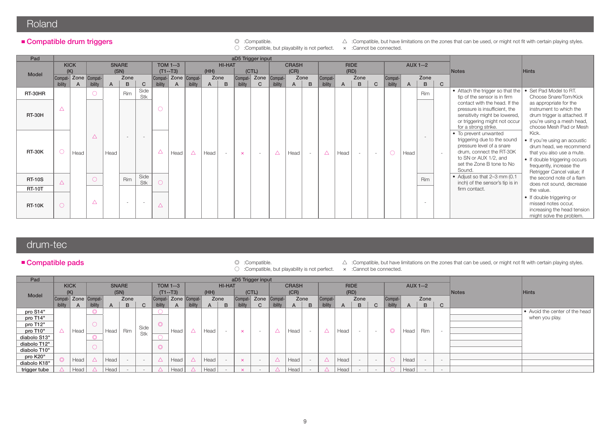### Roland

○ :Compatible, but playability is not perfect. × :Cannot be connected.

■ Compatible drum triggers **and the state of the state of the state of the zones** that can be used, or might not fit with certain playing styles.

| Pad                            |             |                           |             |      |                          |              |             |                           |             |      |        |                    | aD5 Trigger input        |             |              |      |                    |                |                          |                          |                    |              |                          |                |                                                                                                                                                                               |                                                                                                                                                                                           |
|--------------------------------|-------------|---------------------------|-------------|------|--------------------------|--------------|-------------|---------------------------|-------------|------|--------|--------------------|--------------------------|-------------|--------------|------|--------------------|----------------|--------------------------|--------------------------|--------------------|--------------|--------------------------|----------------|-------------------------------------------------------------------------------------------------------------------------------------------------------------------------------|-------------------------------------------------------------------------------------------------------------------------------------------------------------------------------------------|
|                                |             | <b>KICK</b>               |             |      | <b>SNARE</b>             |              |             | <b>TOM 1--3</b>           |             |      | HI-HAT |                    |                          |             | <b>CRASH</b> |      |                    |                | <b>RIDE</b>              |                          |                    |              | <b>AUX 1--2</b>          |                |                                                                                                                                                                               |                                                                                                                                                                                           |
| Model                          |             | (K)                       |             |      | (SN)<br>Zone             |              |             | $(T1--T3)$                |             | (HH) | Zone   |                    | (CTL)<br>Zone Compat-    |             | (CR)         | Zone |                    |                | (RD)<br>Zone             |                          |                    |              | Zone                     |                | <b>Notes</b>                                                                                                                                                                  | <b>Hints</b>                                                                                                                                                                              |
|                                | ibility     | Compat- Zone Compat-<br>A | ibility     | A    | B                        | $\mathsf{C}$ | ibility     | Compat- Zone Compat-<br>A | ibility     | A    | B      | Compat-<br>ibility | C                        | ibility     | A            | B    | Compat-<br>ibility | $\overline{A}$ | B                        | $\mathbf{C}$             | Compat-<br>ibility | $\mathsf{A}$ | B                        | $\mathbf{C}$   |                                                                                                                                                                               |                                                                                                                                                                                           |
| RT-30HR                        |             |                           | $\circ$     |      | <b>Rim</b>               | Side<br>Stk  |             |                           |             |      |        |                    |                          |             |              |      |                    |                |                          |                          |                    |              | <b>Rim</b>               |                | • Attach the trigger so that the<br>tip of the sensor is in firm                                                                                                              | • Set Pad Model to RT.<br>Choose Snare/Tom/Kick                                                                                                                                           |
| <b>RT-30H</b>                  | $\triangle$ |                           |             |      |                          |              | $\bigcirc$  |                           |             |      |        |                    |                          |             |              |      |                    |                |                          |                          |                    |              |                          |                | contact with the head. If the<br>pressure is insufficient, the<br>sensitivity might be lowered,<br>or triggering might not occur<br>for a strong strike.                      | as appropriate for the<br>instrument to which the<br>drum trigger is attached. If<br>you're using a mesh head,<br>choose Mesh Pad or Mesh                                                 |
| <b>RT-30K</b>                  | $\circ$     | Head                      | $\triangle$ | Head | $\sim$                   |              | $\triangle$ | Head                      | $\triangle$ | Head | $\sim$ | $\mathsf{x}$       | $\overline{\phantom{a}}$ | $\triangle$ | Head         |      | $\triangle$        | Head           | $\overline{\phantom{a}}$ | $\overline{\phantom{0}}$ | $\bigcirc$         | Head         | $\overline{\phantom{a}}$ | $\overline{a}$ | • To prevent unwanted<br>triggering due to the sound<br>pressure level of a snare<br>drum, connect the RT-30K<br>to SN or AUX 1/2, and<br>set the Zone B tone to No<br>Sound. | Kick.<br>• If you're using an acoustic<br>drum head, we recommend<br>that you also use a mute.<br>• If double triggering occurs<br>frequently, increase the<br>Retrigger Cancel value; if |
| <b>RT-10S</b><br><b>RT-10T</b> | $\triangle$ |                           | $\circ$     |      | Rim                      | Side<br>Stk  |             |                           |             |      |        |                    |                          |             |              |      |                    |                |                          |                          |                    |              | <b>Rim</b>               |                | • Adjust so that 2-3 mm (0.1)<br>inch) of the sensor's tip is in<br>firm contact.                                                                                             | the second note of a flam<br>does not sound, decrease<br>the value.                                                                                                                       |
| <b>RT-10K</b>                  | $\bigcirc$  |                           | $\triangle$ |      | $\overline{\phantom{a}}$ |              | Δ           |                           |             |      |        |                    |                          |             |              |      |                    |                |                          |                          |                    |              |                          |                |                                                                                                                                                                               | • If double triggering or<br>missed notes occur,<br>increasing the head tension<br>might solve the problem.                                                                               |

# drum-tec

#### ■ Compatible pads

- 
- :Compatible, but playability is not perfect.
- © :Compatible.  $\triangle$  :Compatible, but have limitations on the zones that can be used, or might not fit with certain playing styles.  $\circ$  :Compatible, but playability is not perfect. x :Cannot be connected.
	-
- 

|         |              |                    |                                       |                        |                                                  |                                         |                |                                        | (HH)          |                              |              |                               |                                   | (CR)              |                 |                                |                        |      |                     |                          |              |                         |                                                         | <b>Notes</b>             | <b>Hints</b>                   |
|---------|--------------|--------------------|---------------------------------------|------------------------|--------------------------------------------------|-----------------------------------------|----------------|----------------------------------------|---------------|------------------------------|--------------|-------------------------------|-----------------------------------|-------------------|-----------------|--------------------------------|------------------------|------|---------------------|--------------------------|--------------|-------------------------|---------------------------------------------------------|--------------------------|--------------------------------|
| Compat- |              |                    |                                       | Zone                   |                                                  |                                         |                |                                        |               |                              | Compat-      | Zone                          |                                   |                   |                 |                                |                        | Zone |                     |                          |              | Zone                    |                                                         |                          |                                |
| ibility | $\mathsf{A}$ |                    | A                                     | B                      | $\sim$<br>◡                                      |                                         | $\mathsf{A}$   | ibility                                | A             | B                            | ibility      |                               | ibility                           | A                 | B               | ibility                        | $\mathsf{A}$           | B    | C                   | ibility                  | $\mathsf{H}$ | B                       | C                                                       |                          |                                |
|         |              |                    |                                       |                        |                                                  |                                         |                |                                        |               |                              |              |                               |                                   |                   |                 |                                |                        |      |                     |                          |              |                         |                                                         |                          | • Avoid the center of the head |
|         |              |                    |                                       |                        |                                                  |                                         |                |                                        |               |                              |              |                               |                                   |                   |                 |                                |                        |      |                     |                          |              |                         |                                                         |                          | when you play.                 |
|         |              | $\circ$            |                                       |                        |                                                  | $\curvearrowright$                      |                |                                        |               |                              |              |                               |                                   |                   |                 |                                |                        |      |                     |                          |              |                         |                                                         |                          |                                |
|         |              |                    | Head                                  | Rim                    |                                                  |                                         | Head           | $\Delta$                               | Head          | $\sim$                       | $\mathsf{x}$ |                               | $\triangle$                       | Head              | $\sim$          | $\triangle$                    | Head                   |      | $\sim$              | $\circledcirc$           |              | <b>Rim</b>              | $\overline{\phantom{0}}$                                |                          |                                |
|         |              |                    |                                       |                        |                                                  |                                         |                |                                        |               |                              |              |                               |                                   |                   |                 |                                |                        |      |                     |                          |              |                         |                                                         |                          |                                |
|         |              |                    |                                       |                        |                                                  |                                         |                |                                        |               |                              |              |                               |                                   |                   |                 |                                |                        |      |                     |                          |              |                         |                                                         |                          |                                |
|         |              |                    |                                       |                        |                                                  |                                         |                |                                        |               |                              |              |                               |                                   |                   |                 |                                |                        |      |                     |                          |              |                         |                                                         |                          |                                |
|         |              |                    |                                       |                        |                                                  |                                         |                |                                        |               |                              |              |                               |                                   |                   |                 |                                |                        |      |                     |                          |              |                         |                                                         |                          |                                |
|         |              |                    |                                       |                        |                                                  |                                         |                |                                        |               |                              |              |                               |                                   |                   |                 |                                |                        |      |                     |                          |              |                         |                                                         |                          |                                |
|         | Head         |                    | Head                                  |                        | $\sim$                                           |                                         | Head           |                                        | Head          |                              | $\mathsf{x}$ |                               |                                   | Head              |                 | $\triangle$                    | Head                   |      | $\sim$              |                          |              |                         | $\sim$                                                  |                          |                                |
|         |              | <b>KICK</b><br>(K) | Head  <br>$\circ$<br>Head<br>$\Delta$ | - Zone Compat-<br>Head | <b>SNARE</b><br>(SN)<br>$\overline{\phantom{a}}$ | Side<br>Stk<br>$\overline{\phantom{a}}$ | $\circledcirc$ | <b>TOM 1--3</b><br>$(T1 - T3)$<br>Head | $\triangle^-$ | Compat- Zone Compat-<br>Head | Zone         | <b>HI-HAT</b><br>$\mathsf{x}$ | (CTL)<br>$\overline{\phantom{a}}$ | aD5 Trigger input | Compat-<br>Head | <b>CRASH</b><br>Zone<br>$\sim$ | Compat-<br>$\triangle$ | Head | <b>RIDE</b><br>(RD) | $\overline{\phantom{a}}$ | $\bigcirc$   | Compat-<br>Head<br>Head | <b>AUX 1--2</b><br>Head $ $<br>$\overline{\phantom{a}}$ | $\overline{\phantom{a}}$ |                                |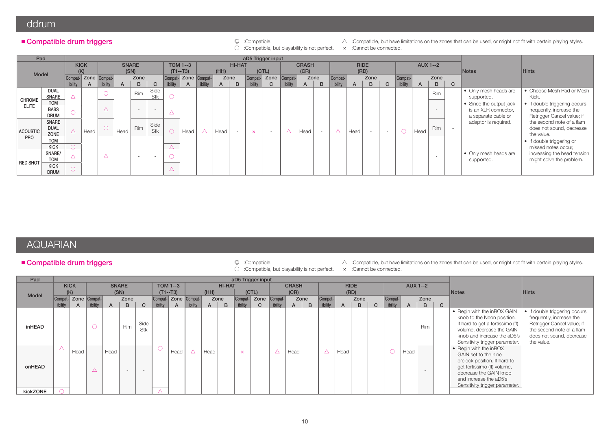### ddrum

#### ■ Compatible drum triggers

○ :Compatible, but playability is not perfect. × :Cannot be connected.

© :Compatible. △ :Compatible, but have limitations on the zones that can be used, or might not fit with certain playing styles.

| Pad                                        |                              |             |              |                      |      |              |                          |            |                      |         |              |        | aD5 Trigger input |              |             |              |                |                |      |                          |                          |         |              |                          |              |                                             |                                                                     |
|--------------------------------------------|------------------------------|-------------|--------------|----------------------|------|--------------|--------------------------|------------|----------------------|---------|--------------|--------|-------------------|--------------|-------------|--------------|----------------|----------------|------|--------------------------|--------------------------|---------|--------------|--------------------------|--------------|---------------------------------------------|---------------------------------------------------------------------|
|                                            |                              |             | <b>KICK</b>  |                      |      | <b>SNARE</b> |                          |            | <b>TOM 1--3</b>      |         |              | HI-HAT |                   |              |             | <b>CRASH</b> |                |                |      | <b>RIDE</b>              |                          |         |              | <b>AUX 1--2</b>          |              |                                             |                                                                     |
| Model                                      |                              |             | (K)          |                      | (SN) |              |                          |            | $(T1--T3)$           |         | (HH)         |        |                   | (CTL)        |             | (CR)         |                |                |      | (RD)                     |                          |         |              |                          |              | <b>Notes</b>                                | <b>Hints</b>                                                        |
|                                            |                              |             |              | Compat- Zone Compat- |      | Zone         |                          |            | Compat- Zone Compat- |         |              | Zone   | Compat-           | Zone Compat- |             |              | Zone           | Compat-        |      | Zone                     |                          | Compat- |              | Zone                     |              |                                             |                                                                     |
|                                            |                              | ibility     | $\mathsf{A}$ | ibility              | A    | B            | $\mathbf{C}$             | ibility    | $\mathsf{A}$         | ibility | $\mathsf{A}$ | B      | ibility           | $\mathbf{C}$ | ibility     | A            | B              | <i>ibility</i> | A    | B                        | $\mathbf{C}$             | ibility | $\mathsf{A}$ | B                        | $\mathbf{C}$ |                                             |                                                                     |
| CHROME                                     | <b>DUAL</b><br><b>SNARE</b>  | Δ           |              |                      |      | Rim          | Side<br>Stk              | $\bigcirc$ |                      |         |              |        |                   |              |             |              |                |                |      |                          |                          |         |              | <b>Rim</b>               |              | • Only mesh heads are<br>supported.         | • Choose Mesh Pad or Mesh<br>Kick.                                  |
|                                            | <b>TOM</b>                   |             |              |                      |      |              |                          |            |                      |         |              |        |                   |              |             |              |                |                |      |                          |                          |         |              |                          |              | • Since the output jack                     | • If double triggering occurs                                       |
| <b>ELITE</b><br><b>BASS</b><br><b>DRUM</b> |                              |             |              |                      |      |              | $\overline{\phantom{a}}$ | △          |                      |         |              |        |                   |              |             |              |                |                |      |                          |                          |         |              | $-$                      |              | is an XLR connector,<br>a separate cable or | frequently, increase the<br>Retrigger Cancel value; if              |
| <b>ACOUSTIC</b>                            | SNARE<br><b>DUAL</b><br>ZONE | $\triangle$ | Head         |                      | Head | <b>Rim</b>   | Side<br>Stk              |            | Head                 | Δ       | Head         |        | $\mathsf{x}$      | $\sim$       | $\triangle$ | Head         | $\overline{a}$ | Δ              | Head | $\overline{\phantom{a}}$ | $\overline{\phantom{a}}$ | $\circ$ | Head         | <b>Rim</b>               |              | adaptor is required.                        | the second note of a flam<br>does not sound, decrease<br>the value. |
| <b>PRO</b>                                 | <b>TOM</b>                   |             |              |                      |      |              |                          |            |                      |         |              |        |                   |              |             |              |                |                |      |                          |                          |         |              |                          |              |                                             | • If double triggering or                                           |
|                                            | <b>KICK</b>                  |             |              |                      |      |              |                          | Δ          |                      |         |              |        |                   |              |             |              |                |                |      |                          |                          |         |              |                          |              |                                             | missed notes occur,                                                 |
|                                            | SNARE/<br><b>TOM</b>         |             |              |                      |      |              |                          | $\circ$    |                      |         |              |        |                   |              |             |              |                |                |      |                          |                          |         |              | $\overline{\phantom{a}}$ |              | . Only mesh heads are<br>supported.         | increasing the head tension<br>might solve the problem.             |
| <b>RED SHOT</b>                            | <b>KICK</b><br><b>DRUM</b>   | $\bigcirc$  |              |                      |      |              |                          | △          |                      |         |              |        |                   |              |             |              |                |                |      |                          |                          |         |              |                          |              |                                             |                                                                     |

# AQUARIAN

#### Compatible drum triggers

- 
- © :Compatible.  $\triangle$ :Compatible, but have limitations on the zones that can be used, or might not fit with certain playing styles.  $\circ$ :Compatible, but playability is not perfect. x :Cannot be connected.
- :Compatible, but playability is not perfect.
- 

| Pad           |                      |             |             |              |                          |                          |                      |                 |         |      |                |              | aD5 Trigger input |         |              |      |             |              |             |                          |         |              |                          |              |                                                                                                                                                                                                     |                                                                                                                                                                |
|---------------|----------------------|-------------|-------------|--------------|--------------------------|--------------------------|----------------------|-----------------|---------|------|----------------|--------------|-------------------|---------|--------------|------|-------------|--------------|-------------|--------------------------|---------|--------------|--------------------------|--------------|-----------------------------------------------------------------------------------------------------------------------------------------------------------------------------------------------------|----------------------------------------------------------------------------------------------------------------------------------------------------------------|
|               |                      | <b>KICK</b> |             |              | <b>SNARE</b>             |                          |                      | <b>TOM 1--3</b> |         |      | <b>HI-HAT</b>  |              |                   |         | <b>CRASH</b> |      |             |              | <b>RIDE</b> |                          |         |              | <b>AUX 1--2</b>          |              |                                                                                                                                                                                                     |                                                                                                                                                                |
|               |                      | (K)         |             |              | (SN)                     |                          |                      | $(T1 - T3)$     |         | (HH) |                |              | (CTL)             |         | (CR)         |      |             |              | (RD)        |                          |         |              |                          |              | Notes                                                                                                                                                                                               | <b>Hints</b>                                                                                                                                                   |
| <b>Model</b>  | Compat- Zone Compat- |             |             |              | Zone                     |                          | Compat- Zone Compat- |                 |         | Zone |                | Compat-      | Zone Compat-      |         |              | Zone | Compat-     |              | Zone        |                          | Compat- |              | Zone                     |              |                                                                                                                                                                                                     |                                                                                                                                                                |
|               | ibility              | A           | ibility     | $\mathsf{A}$ | B                        | $\mathbf{C}$             | ibility              | $\mathsf{A}$    | ibility | A    | B              | ibility      | C                 | ibility | A            | B    | ibility     | $\mathsf{A}$ | B           | $\mathbf{C}$             | ibility | $\mathsf{A}$ | B.                       | $\mathbf{C}$ |                                                                                                                                                                                                     |                                                                                                                                                                |
| <b>inHEAD</b> |                      |             | $\circ$     |              | Rim                      | Side<br>Stk              |                      |                 |         |      |                |              |                   |         |              |      |             |              |             |                          |         |              | <b>Rim</b>               |              | . Begin with the inBOX GAIN<br>knob to the Noon position.<br>If hard to get a fortissimo (ff)<br>volume, decrease the GAIN<br>knob and increase the aD5's<br>Sensitivity trigger parameter.         | • If double triggering occurs<br>frequently, increase the<br>Retrigger Cancel value; if<br>the second note of a flam<br>does not sound, decrease<br>the value. |
| onHEAD        | △                    | Head        | $\triangle$ | Head         | $\overline{\phantom{a}}$ | $\overline{\phantom{0}}$ |                      | Head            |         | Head | $\overline{a}$ | $\mathsf{x}$ | $\sim$            |         | Head         |      | $\triangle$ | Head         | $\sim$      | $\overline{\phantom{a}}$ |         | Head         | $\overline{\phantom{a}}$ |              | • Begin with the inBOX<br>GAIN set to the nine<br>o'clock position. If hard to<br>get fortissimo (ff) volume,<br>decrease the GAIN knob<br>and increase the aD5's<br>Sensitivity trigger parameter. |                                                                                                                                                                |
| kickZONE      |                      |             |             |              |                          |                          |                      |                 |         |      |                |              |                   |         |              |      |             |              |             |                          |         |              |                          |              |                                                                                                                                                                                                     |                                                                                                                                                                |